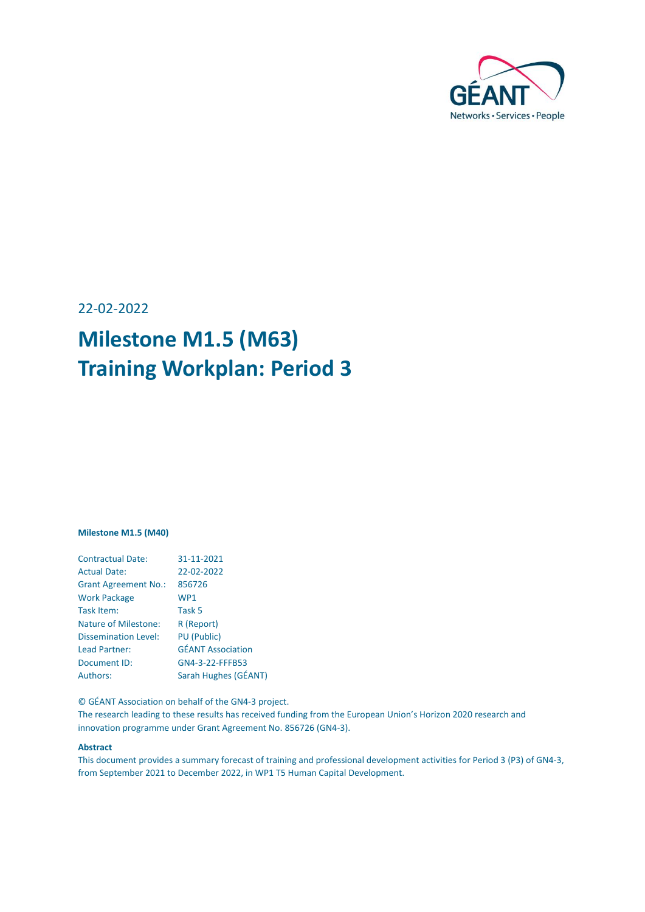

22-02-2022

# **Milestone M1.5 (M63) Training Workplan: Period 3**

#### **Milestone M1.5 (M40)**

| <b>Contractual Date:</b>    | 31-11-2021               |
|-----------------------------|--------------------------|
| <b>Actual Date:</b>         | 22-02-2022               |
| <b>Grant Agreement No.:</b> | 856726                   |
| <b>Work Package</b>         | WP1                      |
| Task Item:                  | Task 5                   |
| <b>Nature of Milestone:</b> | R (Report)               |
| <b>Dissemination Level:</b> | <b>PU (Public)</b>       |
| <b>Lead Partner:</b>        | <b>GÉANT Association</b> |
| Document ID:                | GN4-3-22-FFFB53          |
| <b>Authors:</b>             | Sarah Hughes (GÉANT)     |

© GÉANT Association on behalf of the GN4-3 project.

The research leading to these results has received funding from the European Union's Horizon 2020 research and innovation programme under Grant Agreement No. 856726 (GN4-3).

#### **Abstract**

This document provides a summary forecast of training and professional development activities for Period 3 (P3) of GN4-3, from September 2021 to December 2022, in WP1 T5 Human Capital Development.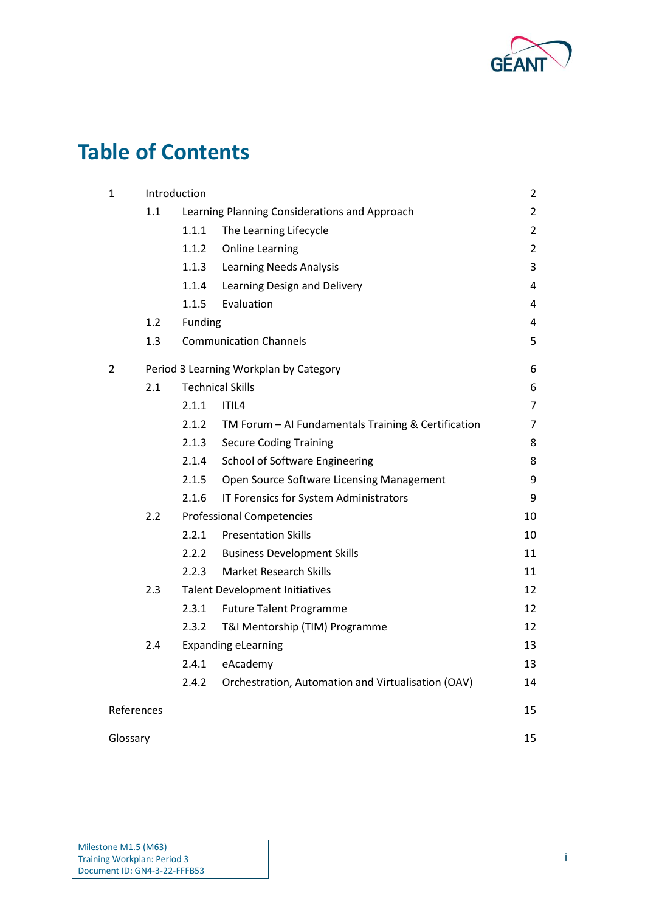

# **Table of Contents**

| 1              |            | Introduction |                                                     | $\overline{2}$ |
|----------------|------------|--------------|-----------------------------------------------------|----------------|
|                | 1.1        |              | Learning Planning Considerations and Approach       | $\overline{2}$ |
|                |            | 1.1.1        | The Learning Lifecycle                              | $\overline{2}$ |
|                |            | 1.1.2        | <b>Online Learning</b>                              | $\overline{2}$ |
|                |            | 1.1.3        | <b>Learning Needs Analysis</b>                      | 3              |
|                |            | 1.1.4        | Learning Design and Delivery                        | 4              |
|                |            | 1.1.5        | Evaluation                                          | 4              |
|                | 1.2        | Funding      |                                                     | 4              |
|                | 1.3        |              | <b>Communication Channels</b>                       | 5              |
| $\overline{2}$ |            |              | Period 3 Learning Workplan by Category              | 6              |
|                | 2.1        |              | <b>Technical Skills</b>                             | 6              |
|                |            | 2.1.1        | ITIL4                                               | $\overline{7}$ |
|                |            | 2.1.2        | TM Forum - AI Fundamentals Training & Certification | 7              |
|                |            | 2.1.3        | <b>Secure Coding Training</b>                       | 8              |
|                |            | 2.1.4        | <b>School of Software Engineering</b>               | 8              |
|                |            | 2.1.5        | Open Source Software Licensing Management           | 9              |
|                |            | 2.1.6        | IT Forensics for System Administrators              | 9              |
|                | 2.2        |              | <b>Professional Competencies</b>                    | 10             |
|                |            | 2.2.1        | <b>Presentation Skills</b>                          | 10             |
|                |            | 2.2.2        | <b>Business Development Skills</b>                  | 11             |
|                |            | 2.2.3        | <b>Market Research Skills</b>                       | 11             |
|                | 2.3        |              | <b>Talent Development Initiatives</b>               | 12             |
|                |            | 2.3.1        | <b>Future Talent Programme</b>                      | 12             |
|                |            | 2.3.2        | T&I Mentorship (TIM) Programme                      | 12             |
|                | 2.4        |              | <b>Expanding eLearning</b>                          | 13             |
|                |            | 2.4.1        | eAcademy                                            | 13             |
|                |            | 2.4.2        | Orchestration, Automation and Virtualisation (OAV)  | 14             |
|                | References |              |                                                     | 15             |
| Glossary       |            |              |                                                     | 15             |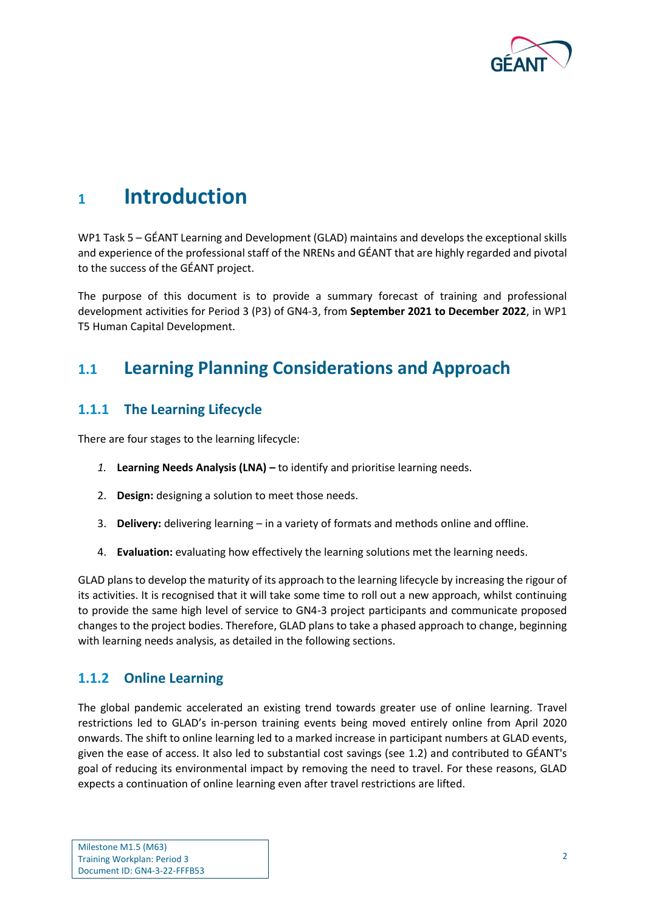

# <span id="page-2-0"></span>**<sup>1</sup> Introduction**

WP1 Task 5 – GÉANT Learning and Development (GLAD) maintains and develops the exceptional skills and experience of the professional staff of the NRENs and GÉANT that are highly regarded and pivotal to the success of the GÉANT project.

The purpose of this document is to provide a summary forecast of training and professional development activities for Period 3 (P3) of GN4-3, from **September 2021 to December 2022**, in WP1 T5 Human Capital Development.

## <span id="page-2-1"></span>**1.1 Learning Planning Considerations and Approach**

## <span id="page-2-2"></span>**1.1.1 The Learning Lifecycle**

There are four stages to the learning lifecycle:

- *1.* **Learning Needs Analysis (LNA) –** to identify and prioritise learning needs.
- 2. **Design:** designing a solution to meet those needs.
- 3. **Delivery:** delivering learning in a variety of formats and methods online and offline.
- 4. **Evaluation:** evaluating how effectively the learning solutions met the learning needs.

GLAD plans to develop the maturity of its approach to the learning lifecycle by increasing the rigour of its activities. It is recognised that it will take some time to roll out a new approach, whilst continuing to provide the same high level of service to GN4-3 project participants and communicate proposed changes to the project bodies. Therefore, GLAD plans to take a phased approach to change, beginning with learning needs analysis, as detailed in the following sections.

### <span id="page-2-3"></span>**1.1.2 Online Learning**

The global pandemic accelerated an existing trend towards greater use of online learning. Travel restrictions led to GLAD's in-person training events being moved entirely online from April 2020 onwards. The shift to online learning led to a marked increase in participant numbers at GLAD events, given the ease of access. It also led to substantial cost savings (see [1.2\)](#page-4-2) and contributed to GÉANT's goal of reducing its environmental impact by removing the need to travel. For these reasons, GLAD expects a continuation of online learning even after travel restrictions are lifted.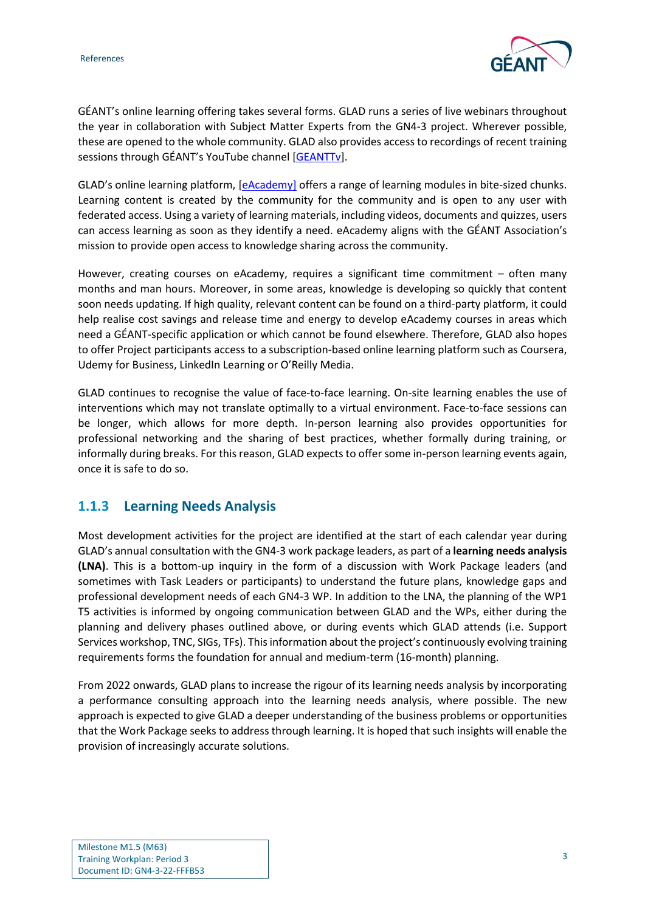

GÉANT's online learning offering takes several forms. GLAD runs a series of live webinars throughout the year in collaboration with Subject Matter Experts from the GN4-3 project. Wherever possible, these are opened to the whole community. GLAD also provides access to recordings of recent training sessions through GÉANT's YouTube channel [\[GEANTTv\]](#page-15-2).

GLAD's online learning platform, [\[eAcademy\]](#page-15-3) offers a range of learning modules in bite-sized chunks. Learning content is created by the community for the community and is open to any user with federated access. Using a variety of learning materials, including videos, documents and quizzes, users can access learning as soon as they identify a need. eAcademy aligns with the GÉANT Association's mission to provide open access to knowledge sharing across the community.

However, creating courses on eAcademy, requires a significant time commitment – often many months and man hours. Moreover, in some areas, knowledge is developing so quickly that content soon needs updating. If high quality, relevant content can be found on a third-party platform, it could help realise cost savings and release time and energy to develop eAcademy courses in areas which need a GÉANT-specific application or which cannot be found elsewhere. Therefore, GLAD also hopes to offer Project participants access to a subscription-based online learning platform such as Coursera, Udemy for Business, LinkedIn Learning or O'Reilly Media.

GLAD continues to recognise the value of face-to-face learning. On-site learning enables the use of interventions which may not translate optimally to a virtual environment. Face-to-face sessions can be longer, which allows for more depth. In-person learning also provides opportunities for professional networking and the sharing of best practices, whether formally during training, or informally during breaks. For this reason, GLAD expects to offer some in-person learning events again, once it is safe to do so.

## <span id="page-3-0"></span>**1.1.3 Learning Needs Analysis**

Most development activities for the project are identified at the start of each calendar year during GLAD's annual consultation with the GN4-3 work package leaders, as part of a **learning needs analysis (LNA)**. This is a bottom-up inquiry in the form of a discussion with Work Package leaders (and sometimes with Task Leaders or participants) to understand the future plans, knowledge gaps and professional development needs of each GN4-3 WP. In addition to the LNA, the planning of the WP1 T5 activities is informed by ongoing communication between GLAD and the WPs, either during the planning and delivery phases outlined above, or during events which GLAD attends (i.e. Support Services workshop, TNC, SIGs, TFs). This information about the project's continuously evolving training requirements forms the foundation for annual and medium-term (16-month) planning.

From 2022 onwards, GLAD plans to increase the rigour of its learning needs analysis by incorporating a performance consulting approach into the learning needs analysis, where possible. The new approach is expected to give GLAD a deeper understanding of the business problems or opportunities that the Work Package seeks to address through learning. It is hoped that such insights will enable the provision of increasingly accurate solutions.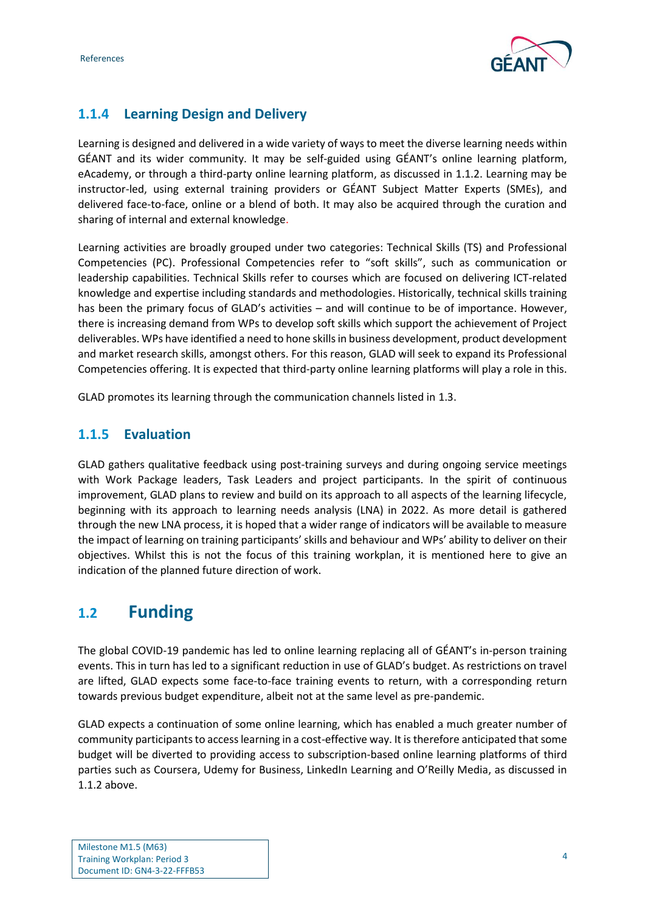

## <span id="page-4-0"></span>**1.1.4 Learning Design and Delivery**

Learning is designed and delivered in a wide variety of ways to meet the diverse learning needs within GÉANT and its wider community. It may be self-guided using GÉANT's online learning platform, eAcademy, or through a third-party online learning platform, as discussed in [1.1.2.](#page-2-3) Learning may be instructor-led, using external training providers or GÉANT Subject Matter Experts (SMEs), and delivered face-to-face, online or a blend of both. It may also be acquired through the curation and sharing of internal and external knowledge.

Learning activities are broadly grouped under two categories: Technical Skills (TS) and Professional Competencies (PC). Professional Competencies refer to "soft skills", such as communication or leadership capabilities. Technical Skills refer to courses which are focused on delivering ICT-related knowledge and expertise including standards and methodologies. Historically, technical skills training has been the primary focus of GLAD's activities – and will continue to be of importance. However, there is increasing demand from WPs to develop soft skills which support the achievement of Project deliverables. WPs have identified a need to hone skills in business development, product development and market research skills, amongst others. For this reason, GLAD will seek to expand its Professional Competencies offering. It is expected that third-party online learning platforms will play a role in this.

GLAD promotes its learning through the communication channels listed i[n 1.3.](#page-5-0)

### <span id="page-4-1"></span>**1.1.5 Evaluation**

GLAD gathers qualitative feedback using post-training surveys and during ongoing service meetings with Work Package leaders, Task Leaders and project participants. In the spirit of continuous improvement, GLAD plans to review and build on its approach to all aspects of the learning lifecycle, beginning with its approach to learning needs analysis (LNA) in 2022. As more detail is gathered through the new LNA process, it is hoped that a wider range of indicators will be available to measure the impact of learning on training participants' skills and behaviour and WPs' ability to deliver on their objectives. Whilst this is not the focus of this training workplan, it is mentioned here to give an indication of the planned future direction of work.

## <span id="page-4-2"></span>**1.2 Funding**

The global COVID-19 pandemic has led to online learning replacing all of GÉANT's in-person training events. This in turn has led to a significant reduction in use of GLAD's budget. As restrictions on travel are lifted, GLAD expects some face-to-face training events to return, with a corresponding return towards previous budget expenditure, albeit not at the same level as pre-pandemic.

GLAD expects a continuation of some online learning, which has enabled a much greater number of community participants to access learning in a cost-effective way. It is therefore anticipated that some budget will be diverted to providing access to subscription-based online learning platforms of third parties such as Coursera, Udemy for Business, LinkedIn Learning and O'Reilly Media, as discussed in [1.1.2](#page-2-3) above.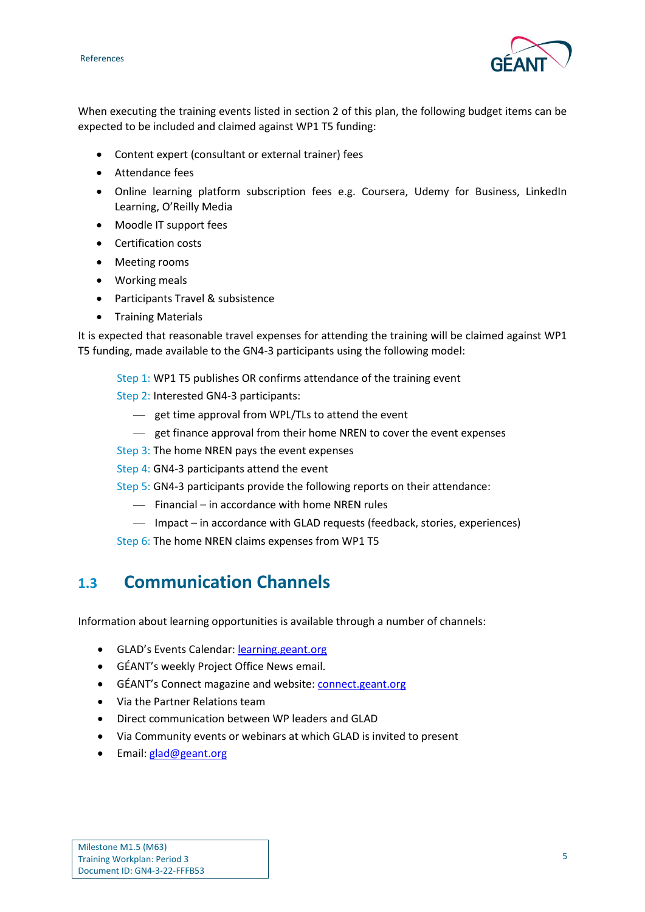

When executing the training events listed in section [2](#page-6-0) of this plan, the following budget items can be expected to be included and claimed against WP1 T5 funding:

- Content expert (consultant or external trainer) fees
- Attendance fees
- Online learning platform subscription fees e.g. Coursera, Udemy for Business, LinkedIn Learning, O'Reilly Media
- Moodle IT support fees
- Certification costs
- Meeting rooms
- Working meals
- Participants Travel & subsistence
- Training Materials

It is expected that reasonable travel expenses for attending the training will be claimed against WP1 T5 funding, made available to the GN4-3 participants using the following model:

- Step 1: WP1 T5 publishes OR confirms attendance of the training event
- Step 2: Interested GN4-3 participants:
	- get time approval from WPL/TLs to attend the event
	- get finance approval from their home NREN to cover the event expenses
- Step 3: The home NREN pays the event expenses
- Step 4: GN4-3 participants attend the event
- Step 5: GN4-3 participants provide the following reports on their attendance:
	- Financial in accordance with home NREN rules
	- Impact in accordance with GLAD requests (feedback, stories, experiences)
- Step 6: The home NREN claims expenses from WP1 T5

## <span id="page-5-0"></span>**1.3 Communication Channels**

Information about learning opportunities is available through a number of channels:

- GLAD's Events Calendar: [learning.geant.org](https://learning.geant.org/)
- GÉANT's weekly Project Office News email.
- GÉANT's Connect magazine and website: [connect.geant.org](file:///C:/Users/francesca/Box/GEANT%20-%20PMO%20Team%20Working%20Folder/Technical%20Authors/Francesca/GN4/GN4-3/GN4-3%20Milestones/connect.geant.org/)
- Via the Partner Relations team
- Direct communication between WP leaders and GLAD
- Via Community events or webinars at which GLAD is invited to present
- Email: [glad@geant.org](mailto:glad@geant.org)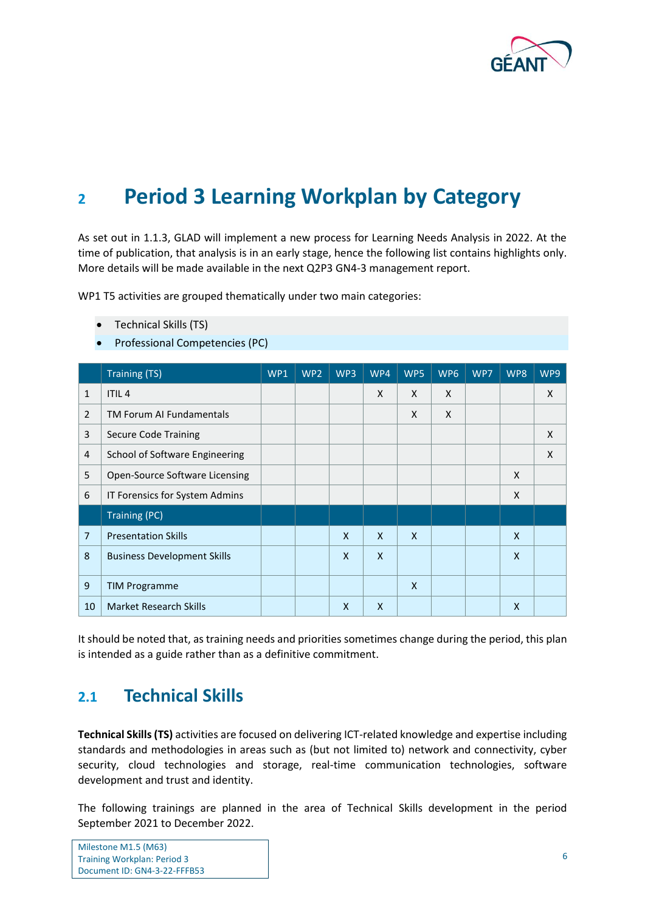

# <span id="page-6-0"></span>**<sup>2</sup> Period 3 Learning Workplan by Category**

As set out in [1.1.3,](#page-3-0) GLAD will implement a new process for Learning Needs Analysis in 2022. At the time of publication, that analysis is in an early stage, hence the following list contains highlights only. More details will be made available in the next Q2P3 GN4-3 management report.

WP1 T5 activities are grouped thematically under two main categories:

- Technical Skills (TS)
- Professional Competencies (PC)

|                | <b>Training (TS)</b>               | WP1 | WP <sub>2</sub> | WP3          | WP4 | WP5          | WP <sub>6</sub> | WP7 | WP8          | WP9 |
|----------------|------------------------------------|-----|-----------------|--------------|-----|--------------|-----------------|-----|--------------|-----|
| $\mathbf{1}$   | <b>ITIL4</b>                       |     |                 |              | X   | X            | $\mathsf{X}$    |     |              | X   |
| $\overline{2}$ | <b>TM Forum AI Fundamentals</b>    |     |                 |              |     | X            | X               |     |              |     |
| 3              | <b>Secure Code Training</b>        |     |                 |              |     |              |                 |     |              | X   |
| $\overline{4}$ | School of Software Engineering     |     |                 |              |     |              |                 |     |              | X   |
| 5              | Open-Source Software Licensing     |     |                 |              |     |              |                 |     | X            |     |
| 6              | IT Forensics for System Admins     |     |                 |              |     |              |                 |     | X            |     |
|                | <b>Training (PC)</b>               |     |                 |              |     |              |                 |     |              |     |
| $\overline{7}$ | <b>Presentation Skills</b>         |     |                 | $\mathsf{x}$ | X   | $\mathsf{x}$ |                 |     | $\mathsf{x}$ |     |
| 8              | <b>Business Development Skills</b> |     |                 | $\mathsf{x}$ | X   |              |                 |     | $\mathsf{x}$ |     |
| 9              | <b>TIM Programme</b>               |     |                 |              |     | $\mathsf{x}$ |                 |     |              |     |
| 10             | <b>Market Research Skills</b>      |     |                 | $\mathsf{x}$ | X   |              |                 |     | X            |     |

It should be noted that, as training needs and priorities sometimes change during the period, this plan is intended as a guide rather than as a definitive commitment.

## <span id="page-6-1"></span>**2.1 Technical Skills**

**Technical Skills(TS)** activities are focused on delivering ICT-related knowledge and expertise including standards and methodologies in areas such as (but not limited to) network and connectivity, cyber security, cloud technologies and storage, real-time communication technologies, software development and trust and identity.

The following trainings are planned in the area of Technical Skills development in the period September 2021 to December 2022.

| Milestone M1.5 (M63)               |  |
|------------------------------------|--|
| <b>Training Workplan: Period 3</b> |  |
| Document ID: GN4-3-22-FFFB53       |  |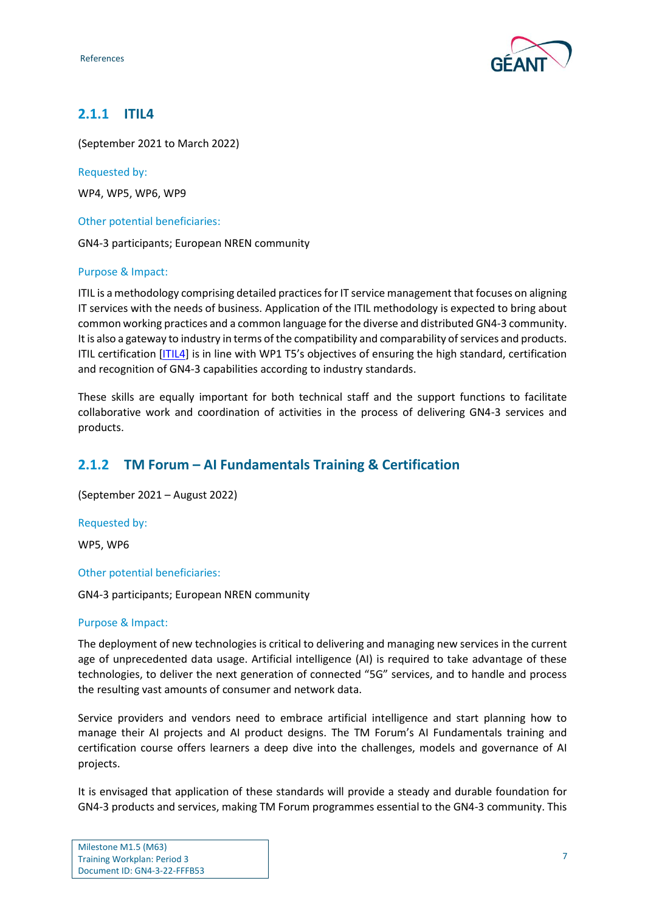

## <span id="page-7-0"></span>**2.1.1 ITIL4**

(September 2021 to March 2022)

Requested by:

WP4, WP5, WP6, WP9

Other potential beneficiaries:

GN4-3 participants; European NREN community

#### Purpose & Impact:

ITIL is a methodology comprising detailed practices for IT service management that focuses on aligning IT services with the needs of business. Application of the ITIL methodology is expected to bring about common working practices and a common language for the diverse and distributed GN4-3 community. It is also a gateway to industry in terms of the compatibility and comparability of services and products. ITIL certification [\[ITIL4\]](#page-15-4) is in line with WP1 T5's objectives of ensuring the high standard, certification and recognition of GN4-3 capabilities according to industry standards.

These skills are equally important for both technical staff and the support functions to facilitate collaborative work and coordination of activities in the process of delivering GN4-3 services and products.

## <span id="page-7-1"></span>**2.1.2 TM Forum – AI Fundamentals Training & Certification**

(September 2021 – August 2022)

Requested by:

WP5, WP6

#### Other potential beneficiaries:

GN4-3 participants; European NREN community

#### Purpose & Impact:

The deployment of new technologies is critical to delivering and managing new services in the current age of unprecedented data usage. Artificial intelligence (AI) is required to take advantage of these technologies, to deliver the next generation of connected "5G" services, and to handle and process the resulting vast amounts of consumer and network data.

Service providers and vendors need to embrace artificial intelligence and start planning how to manage their AI projects and AI product designs. The TM Forum's AI Fundamentals training and certification course offers learners a deep dive into the challenges, models and governance of AI projects.

It is envisaged that application of these standards will provide a steady and durable foundation for GN4-3 products and services, making TM Forum programmes essential to the GN4-3 community. This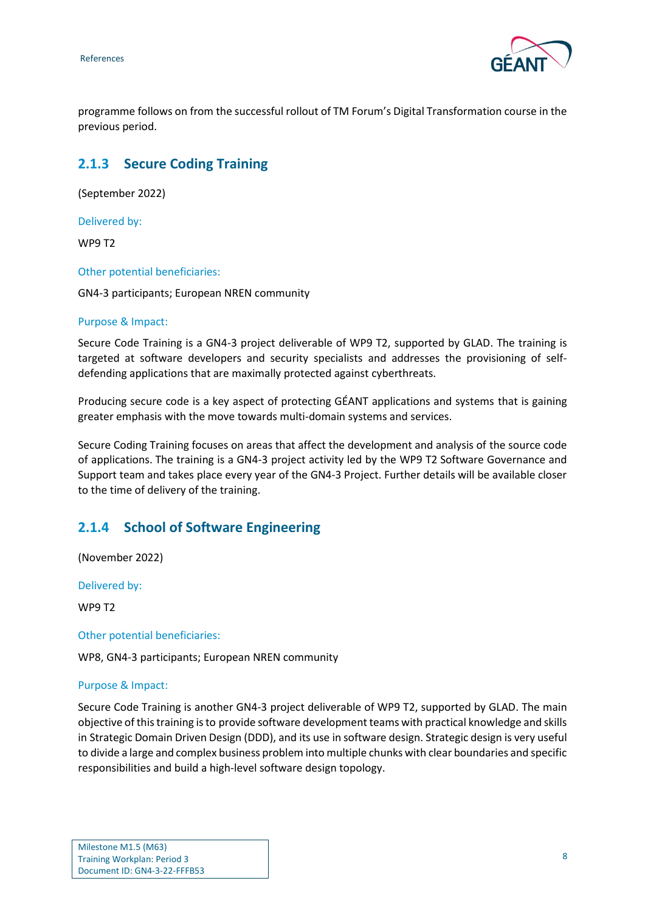

programme follows on from the successful rollout of TM Forum's Digital Transformation course in the previous period.

## <span id="page-8-0"></span>**2.1.3 Secure Coding Training**

(September 2022)

Delivered by:

WP9 T2

Other potential beneficiaries:

GN4-3 participants; European NREN community

#### Purpose & Impact:

Secure Code Training is a GN4-3 project deliverable of WP9 T2, supported by GLAD. The training is targeted at software developers and security specialists and addresses the provisioning of selfdefending applications that are maximally protected against cyberthreats.

Producing secure code is a key aspect of protecting GÉANT applications and systems that is gaining greater emphasis with the move towards multi-domain systems and services.

Secure Coding Training focuses on areas that affect the development and analysis of the source code of applications. The training is a GN4-3 project activity led by the WP9 T2 Software Governance and Support team and takes place every year of the GN4-3 Project. Further details will be available closer to the time of delivery of the training.

### <span id="page-8-1"></span>**2.1.4 School of Software Engineering**

(November 2022)

Delivered by:

WP9 T2

Other potential beneficiaries:

WP8, GN4-3 participants; European NREN community

#### Purpose & Impact:

Secure Code Training is another GN4-3 project deliverable of WP9 T2, supported by GLAD. The main objective of this training is to provide software development teams with practical knowledge and skills in Strategic Domain Driven Design (DDD), and its use in software design. Strategic design is very useful to divide a large and complex business problem into multiple chunks with clear boundaries and specific responsibilities and build a high-level software design topology.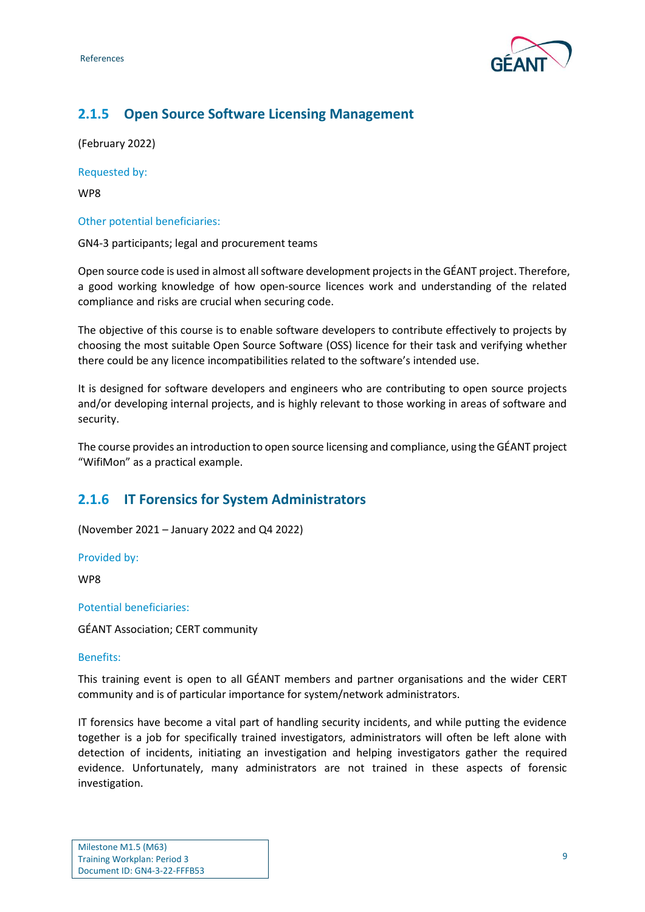

## <span id="page-9-0"></span>**2.1.5 Open Source Software Licensing Management**

(February 2022)

Requested by:

WP8

#### Other potential beneficiaries:

GN4-3 participants; legal and procurement teams

Open source code is used in almost all software development projects in the GÉANT project. Therefore, a good working knowledge of how open-source licences work and understanding of the related compliance and risks are crucial when securing code.

The objective of this course is to enable software developers to contribute effectively to projects by choosing the most suitable Open Source Software (OSS) licence for their task and verifying whether there could be any licence incompatibilities related to the software's intended use.

It is designed for software developers and engineers who are contributing to open source projects and/or developing internal projects, and is highly relevant to those working in areas of software and security.

The course provides an introduction to open source licensing and compliance, using the GÉANT project "WifiMon" as a practical example.

## <span id="page-9-1"></span>**2.1.6 IT Forensics for System Administrators**

(November 2021 – January 2022 and Q4 2022)

Provided by:

WP8

Potential beneficiaries:

GÉANT Association; CERT community

#### Benefits:

This training event is open to all GÉANT members and partner organisations and the wider CERT community and is of particular importance for system/network administrators.

IT forensics have become a vital part of handling security incidents, and while putting the evidence together is a job for specifically trained investigators, administrators will often be left alone with detection of incidents, initiating an investigation and helping investigators gather the required evidence. Unfortunately, many administrators are not trained in these aspects of forensic investigation.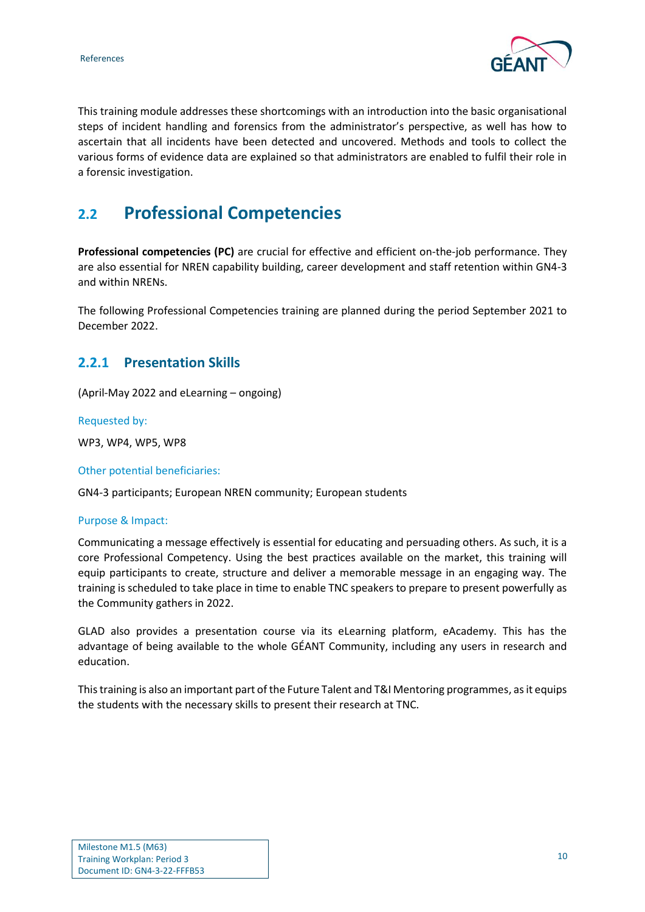

This training module addresses these shortcomings with an introduction into the basic organisational steps of incident handling and forensics from the administrator's perspective, as well has how to ascertain that all incidents have been detected and uncovered. Methods and tools to collect the various forms of evidence data are explained so that administrators are enabled to fulfil their role in a forensic investigation.

## <span id="page-10-0"></span>**2.2 Professional Competencies**

**Professional competencies (PC)** are crucial for effective and efficient on-the-job performance. They are also essential for NREN capability building, career development and staff retention within GN4-3 and within NRENs.

The following Professional Competencies training are planned during the period September 2021 to December 2022.

### <span id="page-10-1"></span>**2.2.1 Presentation Skills**

(April-May 2022 and eLearning – ongoing)

Requested by:

WP3, WP4, WP5, WP8

Other potential beneficiaries:

GN4-3 participants; European NREN community; European students

#### Purpose & Impact:

Communicating a message effectively is essential for educating and persuading others. As such, it is a core Professional Competency. Using the best practices available on the market, this training will equip participants to create, structure and deliver a memorable message in an engaging way. The training is scheduled to take place in time to enable TNC speakers to prepare to present powerfully as the Community gathers in 2022.

GLAD also provides a presentation course via its eLearning platform, eAcademy. This has the advantage of being available to the whole GÉANT Community, including any users in research and education.

This training is also an important part of the Future Talent and T&I Mentoring programmes, as it equips the students with the necessary skills to present their research at TNC.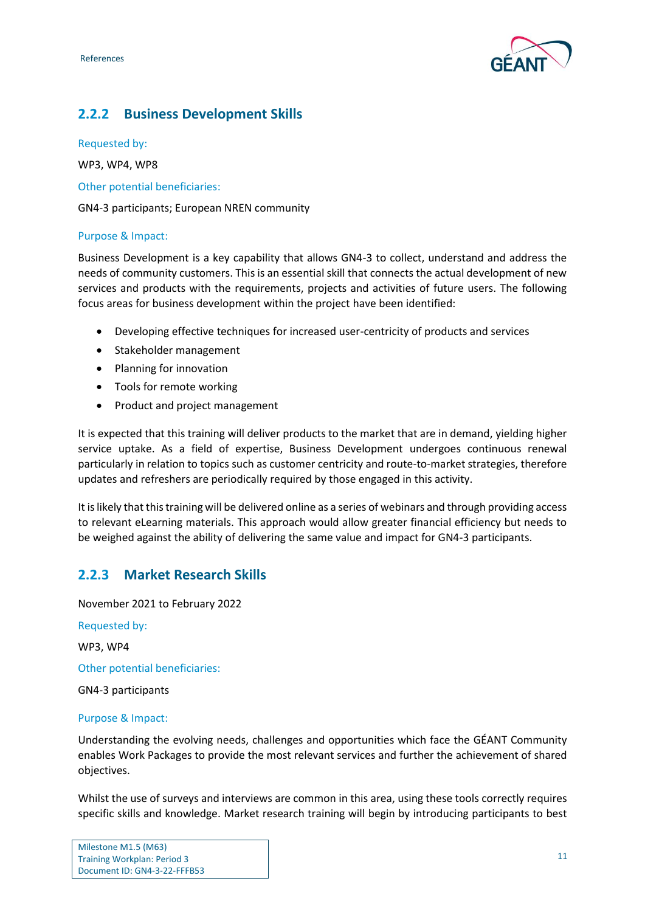

## <span id="page-11-0"></span>**2.2.2 Business Development Skills**

Requested by:

WP3, WP4, WP8

Other potential beneficiaries:

GN4-3 participants; European NREN community

#### Purpose & Impact:

Business Development is a key capability that allows GN4-3 to collect, understand and address the needs of community customers. This is an essential skill that connects the actual development of new services and products with the requirements, projects and activities of future users. The following focus areas for business development within the project have been identified:

- Developing effective techniques for increased user-centricity of products and services
- Stakeholder management
- Planning for innovation
- Tools for remote working
- Product and project management

It is expected that this training will deliver products to the market that are in demand, yielding higher service uptake. As a field of expertise, Business Development undergoes continuous renewal particularly in relation to topics such as customer centricity and route-to-market strategies, therefore updates and refreshers are periodically required by those engaged in this activity.

It is likely that this training will be delivered online as a series of webinars and through providing access to relevant eLearning materials. This approach would allow greater financial efficiency but needs to be weighed against the ability of delivering the same value and impact for GN4-3 participants.

## <span id="page-11-1"></span>**2.2.3 Market Research Skills**

November 2021 to February 2022 Requested by: WP3, WP4 Other potential beneficiaries: GN4-3 participants Purpose & Impact:

Understanding the evolving needs, challenges and opportunities which face the GÉANT Community enables Work Packages to provide the most relevant services and further the achievement of shared objectives.

Whilst the use of surveys and interviews are common in this area, using these tools correctly requires specific skills and knowledge. Market research training will begin by introducing participants to best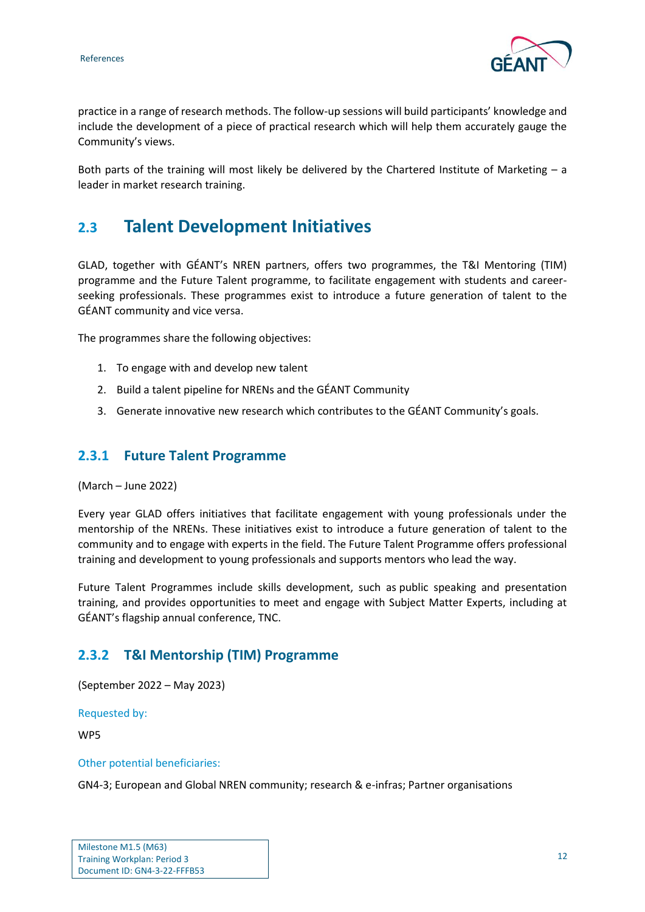

practice in a range of research methods. The follow-up sessions will build participants' knowledge and include the development of a piece of practical research which will help them accurately gauge the Community's views.

Both parts of the training will most likely be delivered by the Chartered Institute of Marketing – a leader in market research training.

## <span id="page-12-0"></span>**2.3 Talent Development Initiatives**

GLAD, together with GÉANT's NREN partners, offers two programmes, the T&I Mentoring (TIM) programme and the Future Talent programme, to facilitate engagement with students and careerseeking professionals. These programmes exist to introduce a future generation of talent to the GÉANT community and vice versa.

The programmes share the following objectives:

- 1. To engage with and develop new talent
- 2. Build a talent pipeline for NRENs and the GÉANT Community
- 3. Generate innovative new research which contributes to the GÉANT Community's goals.

### <span id="page-12-1"></span>**2.3.1 Future Talent Programme**

(March – June 2022)

Every year GLAD offers initiatives that facilitate engagement with young professionals under the mentorship of the NRENs. These initiatives exist to introduce a future generation of talent to the community and to engage with experts in the field. The Future Talent Programme offers professional training and development to young professionals and supports mentors who lead the way.

Future Talent Programmes include skills development, such as public speaking and presentation training, and provides opportunities to meet and engage with Subject Matter Experts, including at GÉANT's flagship annual conference, TNC.

### <span id="page-12-2"></span>**2.3.2 T&I Mentorship (TIM) Programme**

(September 2022 – May 2023)

Requested by:

WP5

#### Other potential beneficiaries:

GN4-3; European and Global NREN community; research & e-infras; Partner organisations

| Milestone M1.5 (M63)               |
|------------------------------------|
| <b>Training Workplan: Period 3</b> |
| Document ID: GN4-3-22-FFFB53       |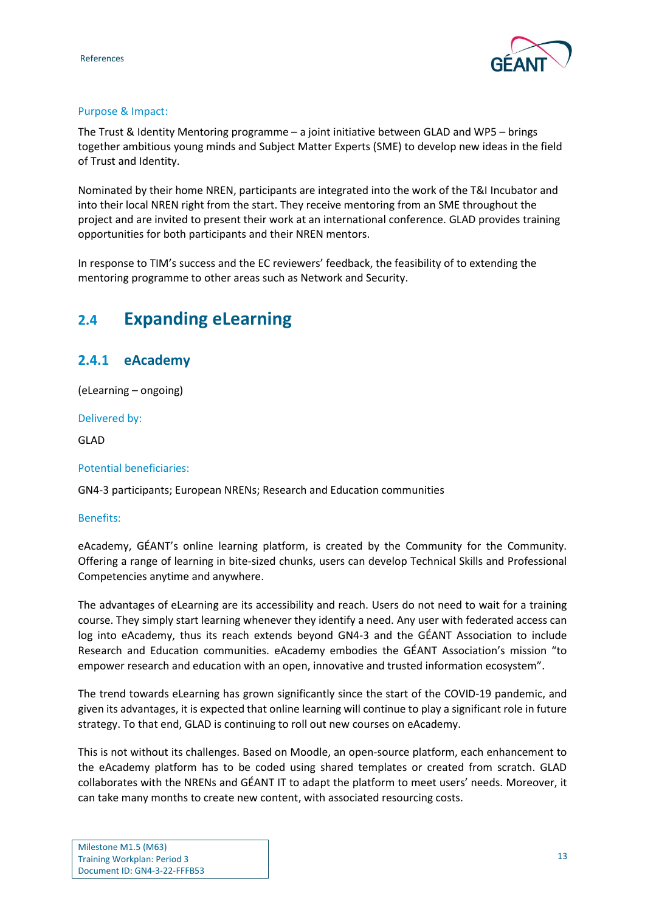

#### Purpose & Impact:

The Trust & Identity Mentoring programme – a joint initiative between GLAD and WP5 – brings together ambitious young minds and Subject Matter Experts (SME) to develop new ideas in the field of Trust and Identity.

Nominated by their home NREN, participants are integrated into the work of the T&I Incubator and into their local NREN right from the start. They receive mentoring from an SME throughout the project and are invited to present their work at an international conference. GLAD provides training opportunities for both participants and their NREN mentors.

In response to TIM's success and the EC reviewers' feedback, the feasibility of to extending the mentoring programme to other areas such as Network and Security.

## <span id="page-13-0"></span>**2.4 Expanding eLearning**

## <span id="page-13-1"></span>**2.4.1 eAcademy**

(eLearning – ongoing)

Delivered by:

GLAD

#### Potential beneficiaries:

GN4-3 participants; European NRENs; Research and Education communities

#### Benefits:

eAcademy, GÉANT's online learning platform, is created by the Community for the Community. Offering a range of learning in bite-sized chunks, users can develop Technical Skills and Professional Competencies anytime and anywhere.

The advantages of eLearning are its accessibility and reach. Users do not need to wait for a training course. They simply start learning whenever they identify a need. Any user with federated access can log into eAcademy, thus its reach extends beyond GN4-3 and the GÉANT Association to include Research and Education communities. eAcademy embodies the GÉANT Association's mission "to empower research and education with an open, innovative and trusted information ecosystem".

The trend towards eLearning has grown significantly since the start of the COVID-19 pandemic, and given its advantages, it is expected that online learning will continue to play a significant role in future strategy. To that end, GLAD is continuing to roll out new courses on eAcademy.

This is not without its challenges. Based on Moodle, an open-source platform, each enhancement to the eAcademy platform has to be coded using shared templates or created from scratch. GLAD collaborates with the NRENs and GÉANT IT to adapt the platform to meet users' needs. Moreover, it can take many months to create new content, with associated resourcing costs.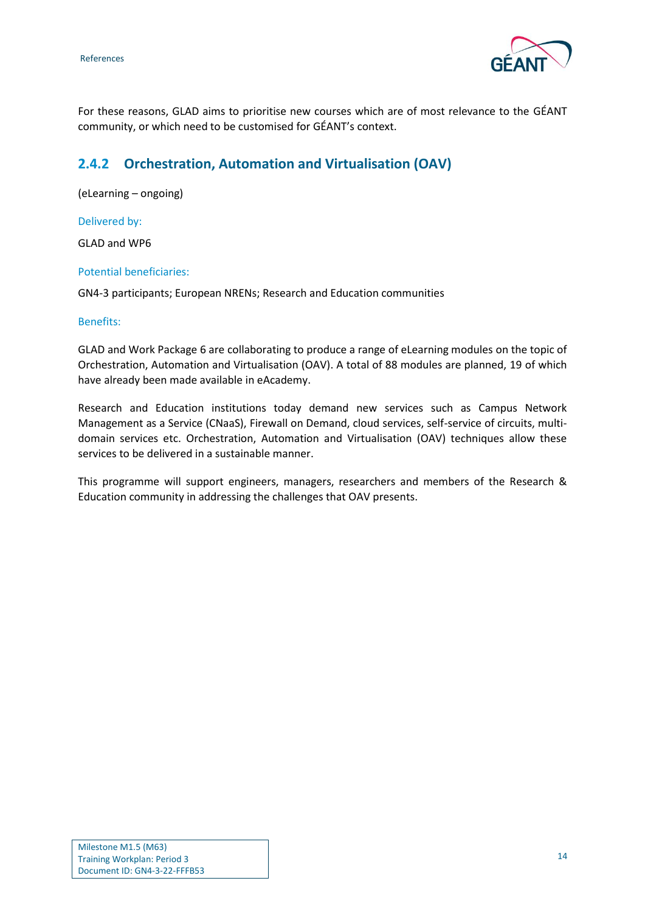

For these reasons, GLAD aims to prioritise new courses which are of most relevance to the GÉANT community, or which need to be customised for GÉANT's context.

## <span id="page-14-0"></span>**2.4.2 Orchestration, Automation and Virtualisation (OAV)**

(eLearning – ongoing)

#### Delivered by:

GLAD and WP6

#### Potential beneficiaries:

GN4-3 participants; European NRENs; Research and Education communities

#### Benefits:

GLAD and Work Package 6 are collaborating to produce a range of eLearning modules on the topic of Orchestration, Automation and Virtualisation (OAV). A total of 88 modules are planned, 19 of which have already been made available in eAcademy.

Research and Education institutions today demand new services such as Campus Network Management as a Service (CNaaS), Firewall on Demand, cloud services, self-service of circuits, multidomain services etc. Orchestration, Automation and Virtualisation (OAV) techniques allow these services to be delivered in a sustainable manner.

This programme will support engineers, managers, researchers and members of the Research & Education community in addressing the challenges that OAV presents.